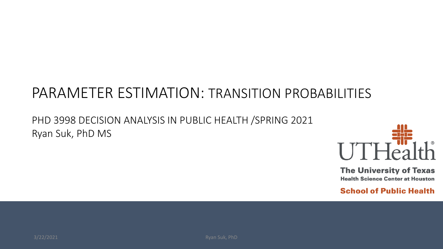## PARAMETER ESTIMATION: TRANSITION PROBABILITIES

#### PHD 3998 DECISION ANALYSIS IN PUBLIC HEALTH /SPRING 2021 Ryan Suk, PhD MS



**The University of Texas Health Science Center at Houston**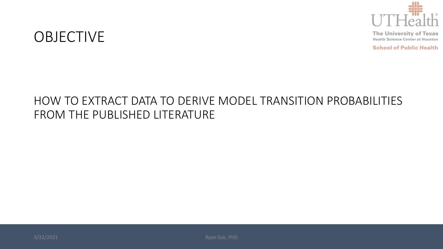

**School of Public Health** 

#### OBJECTIVE

#### HOW TO EXTRACT DATA TO DERIVE MODEL TRANSITION PROBABILITIES FROM THE PUBLISHED LITERATURE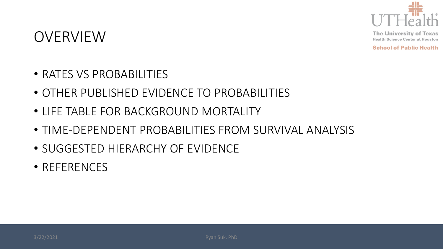

**School of Public Health** 

#### OVERVIEW

- RATES VS PROBABILITIES
- OTHER PUBLISHED EVIDENCE TO PROBABILITIES
- LIFE TABLE FOR BACKGROUND MORTALITY
- TIME-DEPENDENT PROBABILITIES FROM SURVIVAL ANALYSIS
- SUGGESTED HIERARCHY OF EVIDENCE
- REFERENCES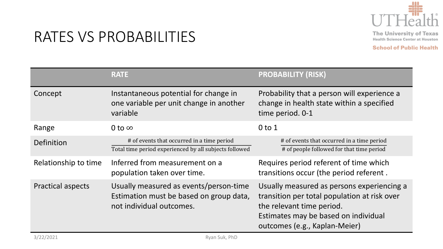

## RATES VS PROBABILITIES

|                          | <b>RATE</b>                                                                                                   | <b>PROBABILITY (RISK)</b>                                                                                                                                                                        |
|--------------------------|---------------------------------------------------------------------------------------------------------------|--------------------------------------------------------------------------------------------------------------------------------------------------------------------------------------------------|
| Concept                  | Instantaneous potential for change in<br>one variable per unit change in another<br>variable                  | Probability that a person will experience a<br>change in health state within a specified<br>time period. 0-1                                                                                     |
| Range                    | 0 to $\infty$                                                                                                 | $0$ to $1$                                                                                                                                                                                       |
| Definition               | # of events that occurred in a time period<br>Total time period experienced by all subjects followed          | # of events that occurred in a time period<br># of people followed for that time period                                                                                                          |
| Relationship to time     | Inferred from measurement on a<br>population taken over time.                                                 | Requires period referent of time which<br>transitions occur (the period referent.                                                                                                                |
| <b>Practical aspects</b> | Usually measured as events/person-time<br>Estimation must be based on group data,<br>not individual outcomes. | Usually measured as persons experiencing a<br>transition per total population at risk over<br>the relevant time period.<br>Estimates may be based on individual<br>outcomes (e.g., Kaplan-Meier) |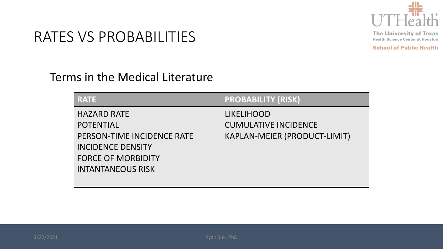

**School of Public Health** 

### RATES VS PROBABILITIES

#### Terms in the Medical Literature

| <b>RATE</b>                | <b>PROBABILITY (RISK)</b>    |
|----------------------------|------------------------------|
| <b>HAZARD RATE</b>         | <b>LIKELIHOOD</b>            |
| <b>POTENTIAL</b>           | <b>CUMULATIVE INCIDENCE</b>  |
| PERSON-TIME INCIDENCE RATE | KAPLAN-MEIER (PRODUCT-LIMIT) |
| <b>INCIDENCE DENSITY</b>   |                              |
| <b>FORCE OF MORBIDITY</b>  |                              |
| <b>INTANTANEOUS RISK</b>   |                              |
|                            |                              |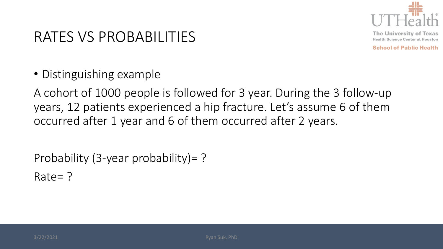

**School of Public Health** 

## RATES VS PROBABILITIES

• Distinguishing example

A cohort of 1000 people is followed for 3 year. During the 3 follow-up years, 12 patients experienced a hip fracture. Let's assume 6 of them occurred after 1 year and 6 of them occurred after 2 years.

Probability (3-year probability)= ? Rate= ?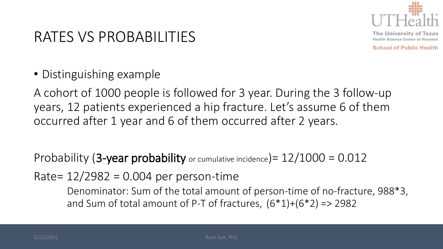

**School of Public Health** 

## RATES VS PROBABILITIES

• Distinguishing example

A cohort of 1000 people is followed for 3 year. During the 3 follow-up years, 12 patients experienced a hip fracture. Let's assume 6 of them occurred after 1 year and 6 of them occurred after 2 years.

Probability (3-year probability or cumulative incidence) =  $12/1000 = 0.012$ 

Rate=  $12/2982 = 0.004$  per person-time

Denominator: Sum of the total amount of person-time of no-fracture, 988\*3, and Sum of total amount of P-T of fractures,  $(6*1)+(6*2) \Rightarrow 2982$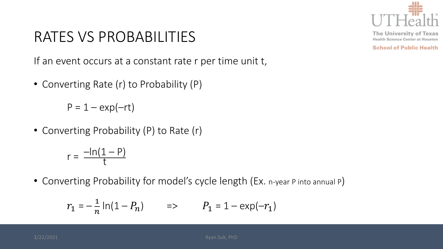

**School of Public Health** 

## RATES VS PROBABILITIES

If an event occurs at a constant rate r per time unit t,

• Converting Rate (r) to Probability (P)

 $P = 1 - exp(-rt)$ 

• Converting Probability (P) to Rate (r)

$$
r = \frac{-\ln(1-P)}{t}
$$

• Converting Probability for model's cycle length (Ex. n-year P into annual P)

$$
r_1 = -\frac{1}{n} \ln(1 - P_n) \qquad \Rightarrow \qquad P_1 = 1 - \exp(-r_1)
$$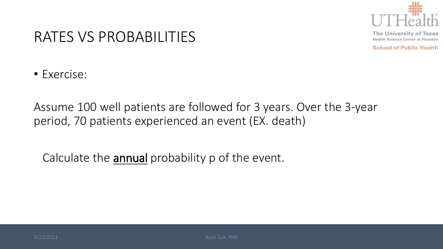

**School of Public Health** 

#### RATES VS PROBABILITIES

• Exercise:

Assume 100 well patients are followed for 3 years. Over the 3-year period, 70 patients experienced an event (EX. death)

Calculate the annual probability p of the event.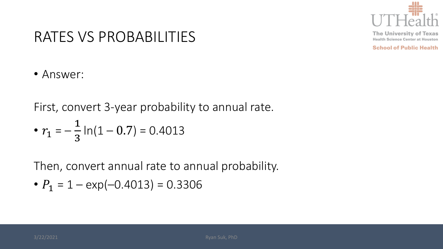

**School of Public Health** 

#### RATES VS PROBABILITIES

• Answer:

First, convert 3-year probability to annual rate.

• 
$$
r_1 = -\frac{1}{3} \ln(1 - 0.7) = 0.4013
$$

Then, convert annual rate to annual probability.

• 
$$
P_1 = 1 - \exp(-0.4013) = 0.3306
$$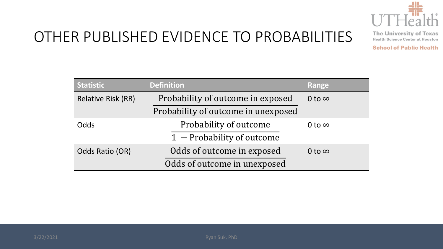

# OTHER PUBLISHED EVIDENCE TO PROBABILITIES

**The University of Texas Health Science Center at Houston** 

| <b>Statistic</b>          | <b>Definition</b>                   | Range         |
|---------------------------|-------------------------------------|---------------|
| <b>Relative Risk (RR)</b> | Probability of outcome in exposed   | 0 to $\infty$ |
|                           | Probability of outcome in unexposed |               |
| Odds                      | Probability of outcome              | 0 to $\infty$ |
|                           | 1 - Probability of outcome          |               |
| Odds Ratio (OR)           | Odds of outcome in exposed          | 0 to $\infty$ |
|                           | Odds of outcome in unexposed        |               |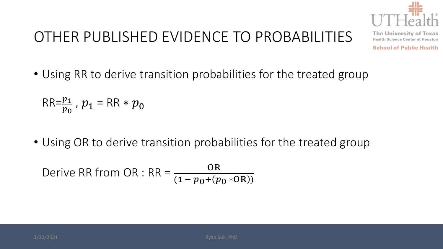

# OTHER PUBLISHED EVIDENCE TO PROBABILITIES

**The University of Texas Health Science Center at Houston** 

**School of Public Health** 

• Using RR to derive transition probabilities for the treated group

$$
\mathsf{RR}=\frac{p_1}{p_0},\ p_1=\mathsf{RR}*\boldsymbol{p}_0
$$

• Using OR to derive transition probabilities for the treated group

Derive RR from OR : RR = 
$$
\frac{OR}{(1 - p_0 + (p_0 * OR))}
$$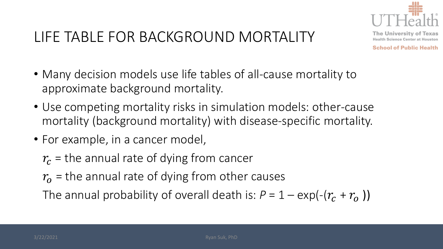

**The University of Texas Health Science Center at Houston** 

**School of Public Health** 

- Many decision models use life tables of all-cause mortality to approximate background mortality.
- Use competing mortality risks in simulation models: other-cause mortality (background mortality) with disease-specific mortality.
- For example, in a cancer model,

 $r_c$  = the annual rate of dying from cancer

 $r<sub>o</sub>$  = the annual rate of dying from other causes

The annual probability of overall death is:  $P = 1 - \exp(-\frac{r_r}{r_1})$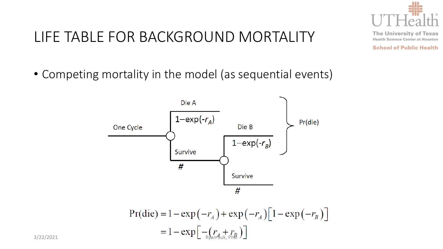

**The University of Texas Health Science Center at Houston** 

**School of Public Health** 

• Competing mortality in the model (as sequential events)



$$
Pr(die) = 1 - exp(-rA) + exp(-rA)[1 - exp(-rB)]
$$
  
= 1 - exp[-(r<sub>A</sub> + r<sub>B</sub>)]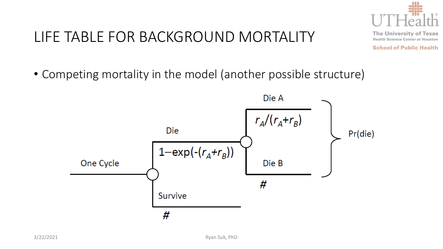

**The University of Texas Health Science Center at Houston** 

**School of Public Health** 

• Competing mortality in the model (another possible structure)

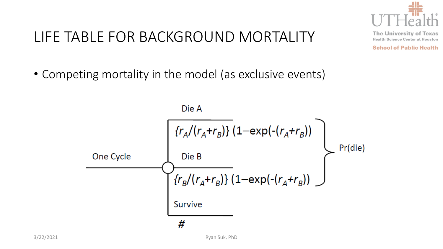

**The University of Texas Health Science Center at Houston School of Public Health** 

# LIFE TABLE FOR BACKGROUND MORTALITY

• Competing mortality in the model (as exclusive events)

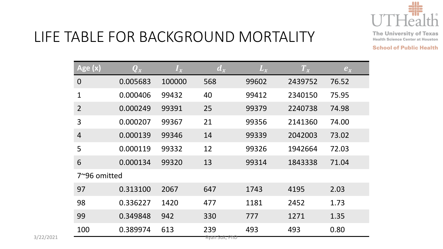

**The University of Texas Health Science Center at Houston** 

| Age (x)        | $\bm{Q}_\mathcal{X}$ | $I_x$  | $d_x$         | $L_x$ | $T_{x}$ | $e_x$ |  |
|----------------|----------------------|--------|---------------|-------|---------|-------|--|
| $\mathbf 0$    | 0.005683             | 100000 | 568           | 99602 | 2439752 | 76.52 |  |
| $\mathbf{1}$   | 0.000406             | 99432  | 40            | 99412 | 2340150 | 75.95 |  |
| $\overline{2}$ | 0.000249             | 99391  | 25            | 99379 | 2240738 | 74.98 |  |
| 3              | 0.000207             | 99367  | 21            | 99356 | 2141360 | 74.00 |  |
| $\overline{4}$ | 0.000139             | 99346  | 14            | 99339 | 2042003 | 73.02 |  |
| 5              | 0.000119             | 99332  | 12            | 99326 | 1942664 | 72.03 |  |
| 6              | 0.000134             | 99320  | 13            | 99314 | 1843338 | 71.04 |  |
| 7~96 omitted   |                      |        |               |       |         |       |  |
| 97             | 0.313100             | 2067   | 647           | 1743  | 4195    | 2.03  |  |
| 98             | 0.336227             | 1420   | 477           | 1181  | 2452    | 1.73  |  |
| 99             | 0.349848             | 942    | 330           | 777   | 1271    | 1.35  |  |
| 100            | 0.389974             | 613    | 239           | 493   | 493     | 0.80  |  |
|                |                      |        | Ryan Suk, PhD |       |         |       |  |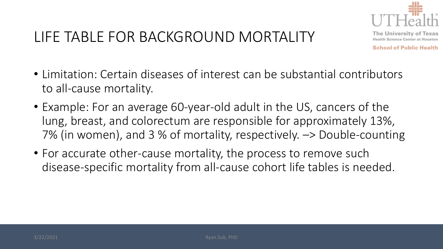

**The University of Texas Health Science Center at Houston** 

- Limitation: Certain diseases of interest can be substantial contributors to all-cause mortality.
- Example: For an average 60-year-old adult in the US, cancers of the lung, breast, and colorectum are responsible for approximately 13%, 7% (in women), and 3 % of mortality, respectively. –> Double-counting
- For accurate other-cause mortality, the process to remove such disease-specific mortality from all-cause cohort life tables is needed.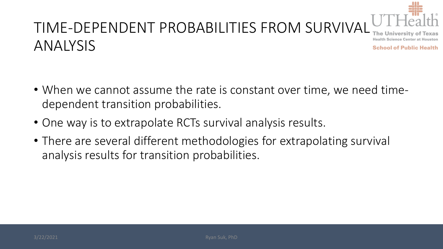

#### TIME-DEPENDENT PROBABILITIES FROM SURVIVAL **Health Science Center at Houston** ANALYSIS **School of Public Health**

- When we cannot assume the rate is constant over time, we need timedependent transition probabilities.
- One way is to extrapolate RCTs survival analysis results.
- There are several different methodologies for extrapolating survival analysis results for transition probabilities.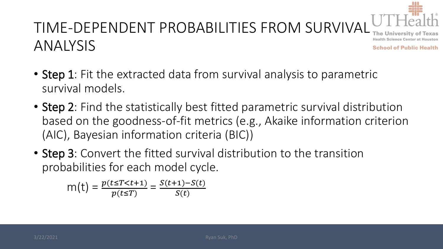

#### TIME-DEPENDENT PROBABILITIES FROM SURVIVAL LA FICA ANALYSIS **School of Public Health**

- Step 1: Fit the extracted data from survival analysis to parametric survival models.
- Step 2: Find the statistically best fitted parametric survival distribution based on the goodness-of-fit metrics (e.g., Akaike information criterion (AIC), Bayesian information criteria (BIC))
- Step 3: Convert the fitted survival distribution to the transition probabilities for each model cycle.

$$
m(t) = \frac{p(t \leq T < t+1)}{p(t \leq T)} = \frac{S(t+1) - S(t)}{S(t)}
$$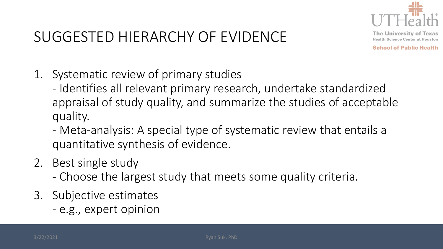

# SUGGESTED HIERARCHY OF EVIDENCE

**The University of Texas Health Science Center at Houston** 

- 1. Systematic review of primary studies
	- Identifies all relevant primary research, undertake standardized appraisal of study quality, and summarize the studies of acceptable quality.
	- Meta-analysis: A special type of systematic review that entails a quantitative synthesis of evidence.
- 2. Best single study
	- Choose the largest study that meets some quality criteria.
- 3. Subjective estimates
	- e.g., expert opinion